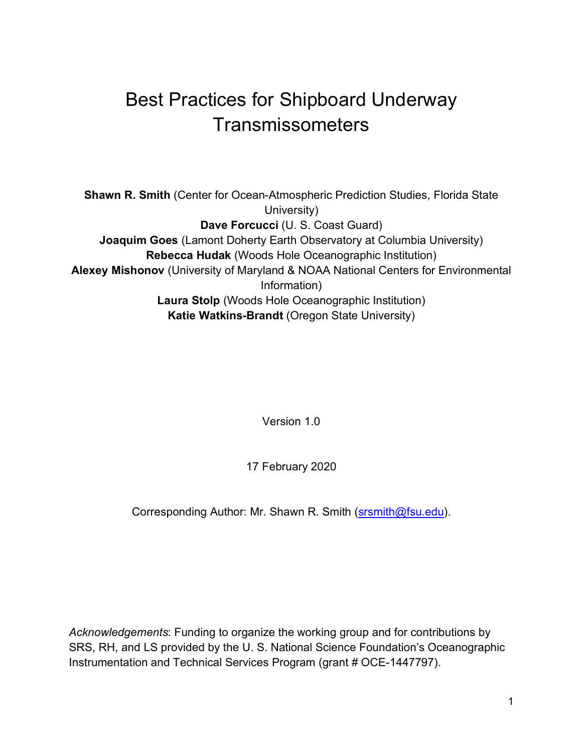# Best Practices for Shipboard Underway **Transmissometers**

**Shawn R. Smith** (Center for Ocean-Atmospheric Prediction Studies, Florida State University) **Dave Forcucci** (U. S. Coast Guard) **Joaquim Goes** (Lamont Doherty Earth Observatory at Columbia University) **Rebecca Hudak** (Woods Hole Oceanographic Institution) **Alexey Mishonov** (University of Maryland & NOAA National Centers for Environmental Information) **Laura Stolp** (Woods Hole Oceanographic Institution) **Katie Watkins-Brandt** (Oregon State University)

Version 1.0

17 February 2020

Corresponding Author: Mr. Shawn R. Smith (srsmith@fsu.edu).

*Acknowledgements*: Funding to organize the working group and for contributions by SRS, RH, and LS provided by the U. S. National Science Foundation's Oceanographic Instrumentation and Technical Services Program (grant # OCE-1447797).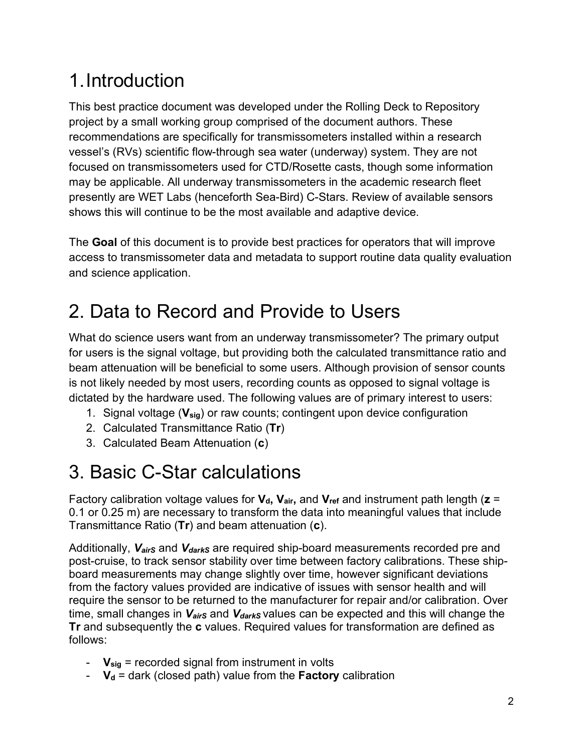# 1.Introduction

This best practice document was developed under the Rolling Deck to Repository project by a small working group comprised of the document authors. These recommendations are specifically for transmissometers installed within a research vessel's (RVs) scientific flow-through sea water (underway) system. They are not focused on transmissometers used for CTD/Rosette casts, though some information may be applicable. All underway transmissometers in the academic research fleet presently are WET Labs (henceforth Sea-Bird) C-Stars. Review of available sensors shows this will continue to be the most available and adaptive device.

The **Goal** of this document is to provide best practices for operators that will improve access to transmissometer data and metadata to support routine data quality evaluation and science application.

# 2. Data to Record and Provide to Users

What do science users want from an underway transmissometer? The primary output for users is the signal voltage, but providing both the calculated transmittance ratio and beam attenuation will be beneficial to some users. Although provision of sensor counts is not likely needed by most users, recording counts as opposed to signal voltage is dictated by the hardware used. The following values are of primary interest to users:

- 1. Signal voltage (**Vsig**) or raw counts; contingent upon device configuration
- 2. Calculated Transmittance Ratio (**Tr**)
- 3. Calculated Beam Attenuation (**c**)

# 3. Basic C-Star calculations

Factory calibration voltage values for  $V_d$ ,  $V_{air}$ , and  $V_{ref}$  and instrument path length ( $z =$ 0.1 or 0.25 m) are necessary to transform the data into meaningful values that include Transmittance Ratio (**Tr**) and beam attenuation (**c**).

Additionally, V<sub>airs</sub> and V<sub>darks</sub> are required ship-board measurements recorded pre and post-cruise, to track sensor stability over time between factory calibrations. These shipboard measurements may change slightly over time, however significant deviations from the factory values provided are indicative of issues with sensor health and will require the sensor to be returned to the manufacturer for repair and/or calibration. Over time, small changes in  $V_{\text{airS}}$  and  $V_{\text{darkS}}$  values can be expected and this will change the **Tr** and subsequently the **c** values. Required values for transformation are defined as follows:

- **Vsig** = recorded signal from instrument in volts
- $V_d$  = dark (closed path) value from the **Factory** calibration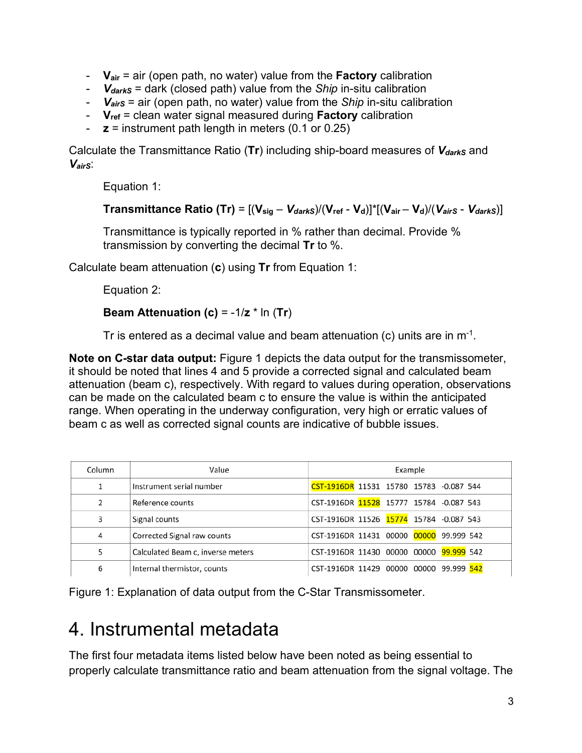- **Vair** = air (open path, no water) value from the **Factory** calibration
- *VdarkS* = dark (closed path) value from the *Ship* in-situ calibration
- *VairS* = air (open path, no water) value from the *Ship* in-situ calibration
- **Vref** = clean water signal measured during **Factory** calibration
- $z =$  instrument path length in meters  $(0.1$  or  $0.25)$

Calculate the Transmittance Ratio (Tr) including ship-board measures of V<sub>darks</sub> and *VairS*:

Equation 1:

**Transmittance Ratio (Tr)** =  $[(V_{sig} - V_{darkS})/(V_{ref} - V_d)]^*[(V_{air} - V_d)/(V_{airS} - V_{darkS})]$ 

Transmittance is typically reported in % rather than decimal. Provide % transmission by converting the decimal **Tr** to %.

Calculate beam attenuation (**c**) using **Tr** from Equation 1:

Equation 2:

#### **Beam Attenuation (c)** = -1/**z** \* ln (**Tr**)

Tr is entered as a decimal value and beam attenuation (c) units are in  $m<sup>-1</sup>$ .

**Note on C-star data output:** Figure 1 depicts the data output for the transmissometer, it should be noted that lines 4 and 5 provide a corrected signal and calculated beam attenuation (beam c), respectively. With regard to values during operation, observations can be made on the calculated beam c to ensure the value is within the anticipated range. When operating in the underway configuration, very high or erratic values of beam c as well as corrected signal counts are indicative of bubble issues.

| Column        | Value                             | Example                                    |  |  |  |  |
|---------------|-----------------------------------|--------------------------------------------|--|--|--|--|
|               | Instrument serial number          | CST-1916DR 11531 15780 15783 -0.087 544    |  |  |  |  |
| $\mathcal{P}$ | Reference counts                  | CST-1916DR 11528 15777 15784 -0.087 543    |  |  |  |  |
| 3             | Signal counts                     | CST-1916DR 11526 15774 15784 -0.087 543    |  |  |  |  |
| 4             | Corrected Signal raw counts       | CST-1916DR 11431 00000 00000 99.999 542    |  |  |  |  |
|               | Calculated Beam c, inverse meters | CST-1916DR 11430 00000 00000 99.999 542    |  |  |  |  |
| 6             | Internal thermistor, counts       | CST-1916DR 11429 00000 00000<br>99.999 542 |  |  |  |  |

Figure 1: Explanation of data output from the C-Star Transmissometer.

## 4. Instrumental metadata

The first four metadata items listed below have been noted as being essential to properly calculate transmittance ratio and beam attenuation from the signal voltage. The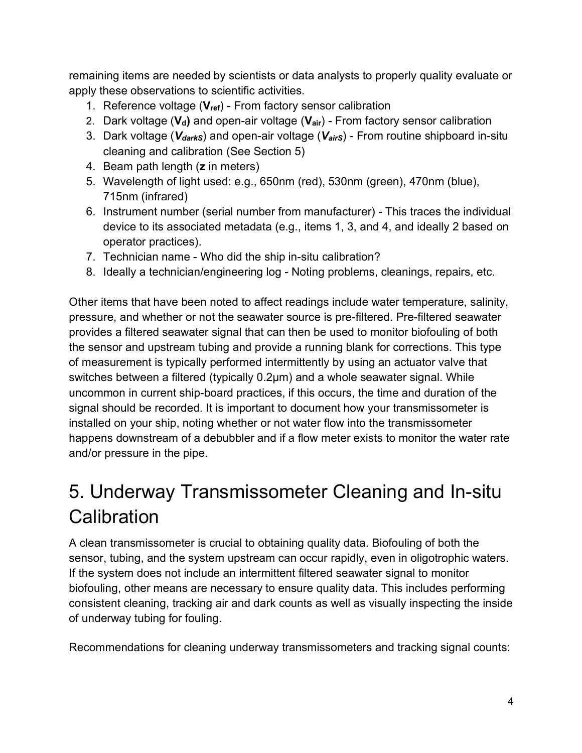remaining items are needed by scientists or data analysts to properly quality evaluate or apply these observations to scientific activities.

- 1. Reference voltage (**Vref**) From factory sensor calibration
- 2. Dark voltage (V<sub>d</sub>) and open-air voltage (V<sub>air</sub>) From factory sensor calibration
- 3. Dark voltage (*VdarkS*) and open-air voltage (*VairS*) From routine shipboard in-situ cleaning and calibration (See Section 5)
- 4. Beam path length (**z** in meters)
- 5. Wavelength of light used: e.g., 650nm (red), 530nm (green), 470nm (blue), 715nm (infrared)
- 6. Instrument number (serial number from manufacturer) This traces the individual device to its associated metadata (e.g., items 1, 3, and 4, and ideally 2 based on operator practices).
- 7. Technician name Who did the ship in-situ calibration?
- 8. Ideally a technician/engineering log Noting problems, cleanings, repairs, etc.

Other items that have been noted to affect readings include water temperature, salinity, pressure, and whether or not the seawater source is pre-filtered. Pre-filtered seawater provides a filtered seawater signal that can then be used to monitor biofouling of both the sensor and upstream tubing and provide a running blank for corrections. This type of measurement is typically performed intermittently by using an actuator valve that switches between a filtered (typically 0.2µm) and a whole seawater signal. While uncommon in current ship-board practices, if this occurs, the time and duration of the signal should be recorded. It is important to document how your transmissometer is installed on your ship, noting whether or not water flow into the transmissometer happens downstream of a debubbler and if a flow meter exists to monitor the water rate and/or pressure in the pipe.

# 5. Underway Transmissometer Cleaning and In-situ **Calibration**

A clean transmissometer is crucial to obtaining quality data. Biofouling of both the sensor, tubing, and the system upstream can occur rapidly, even in oligotrophic waters. If the system does not include an intermittent filtered seawater signal to monitor biofouling, other means are necessary to ensure quality data. This includes performing consistent cleaning, tracking air and dark counts as well as visually inspecting the inside of underway tubing for fouling.

Recommendations for cleaning underway transmissometers and tracking signal counts: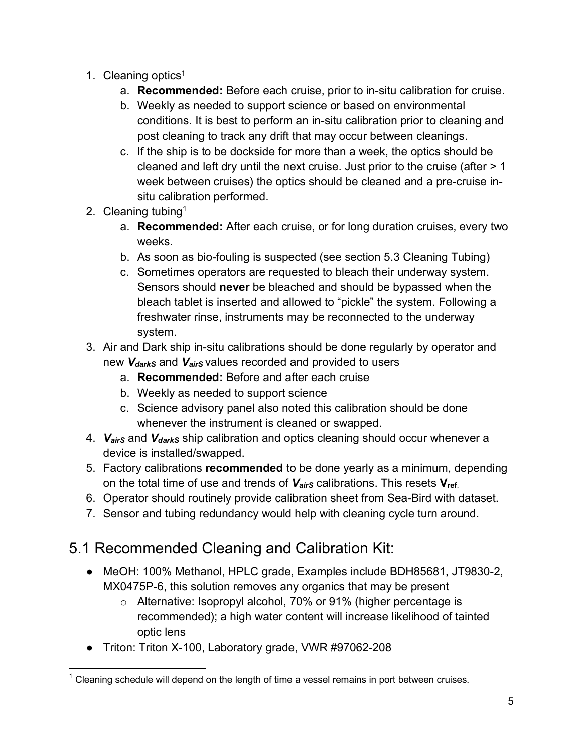- 1. Cleaning optics<sup>1</sup>
	- a. **Recommended:** Before each cruise, prior to in-situ calibration for cruise.
	- b. Weekly as needed to support science or based on environmental conditions. It is best to perform an in-situ calibration prior to cleaning and post cleaning to track any drift that may occur between cleanings.
	- c. If the ship is to be dockside for more than a week, the optics should be cleaned and left dry until the next cruise. Just prior to the cruise (after > 1 week between cruises) the optics should be cleaned and a pre-cruise insitu calibration performed.
- 2. Cleaning tubing1
	- a. **Recommended:** After each cruise, or for long duration cruises, every two weeks.
	- b. As soon as bio-fouling is suspected (see section 5.3 Cleaning Tubing)
	- c. Sometimes operators are requested to bleach their underway system. Sensors should **never** be bleached and should be bypassed when the bleach tablet is inserted and allowed to "pickle" the system. Following a freshwater rinse, instruments may be reconnected to the underway system.
- 3. Air and Dark ship in-situ calibrations should be done regularly by operator and new *V<sub>darkS</sub>* and *V<sub>airS</sub>* values recorded and provided to users
	- a. **Recommended:** Before and after each cruise
	- b. Weekly as needed to support science
	- c. Science advisory panel also noted this calibration should be done whenever the instrument is cleaned or swapped.
- 4. *VairS* and *VdarkS* ship calibration and optics cleaning should occur whenever a device is installed/swapped.
- 5. Factory calibrations **recommended** to be done yearly as a minimum, depending on the total time of use and trends of *VairS* calibrations. This resets **Vref**.
- 6. Operator should routinely provide calibration sheet from Sea-Bird with dataset.
- 7. Sensor and tubing redundancy would help with cleaning cycle turn around.

## 5.1 Recommended Cleaning and Calibration Kit:

- MeOH: 100% Methanol, HPLC grade, Examples include BDH85681, JT9830-2, MX0475P-6, this solution removes any organics that may be present
	- o Alternative: Isopropyl alcohol, 70% or 91% (higher percentage is recommended); a high water content will increase likelihood of tainted optic lens
- Triton: Triton X-100, Laboratory grade, VWR #97062-208

 $1$  Cleaning schedule will depend on the length of time a vessel remains in port between cruises.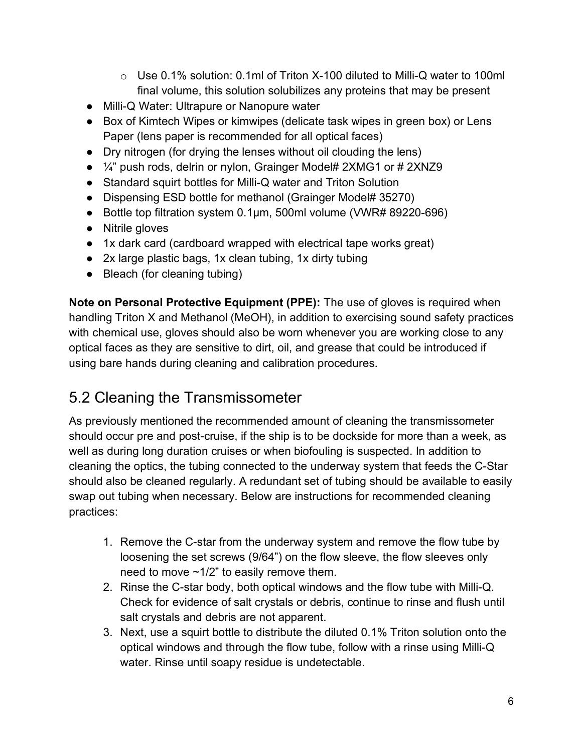- o Use 0.1% solution: 0.1ml of Triton X-100 diluted to Milli-Q water to 100ml final volume, this solution solubilizes any proteins that may be present
- Milli-Q Water: Ultrapure or Nanopure water
- Box of Kimtech Wipes or kimwipes (delicate task wipes in green box) or Lens Paper (lens paper is recommended for all optical faces)
- Dry nitrogen (for drying the lenses without oil clouding the lens)
- ¼" push rods, delrin or nylon, Grainger Model# 2XMG1 or # 2XNZ9
- Standard squirt bottles for Milli-Q water and Triton Solution
- Dispensing ESD bottle for methanol (Grainger Model# 35270)
- Bottle top filtration system 0.1µm, 500ml volume (VWR# 89220-696)
- Nitrile gloves
- 1x dark card (cardboard wrapped with electrical tape works great)
- 2x large plastic bags, 1x clean tubing, 1x dirty tubing
- Bleach (for cleaning tubing)

**Note on Personal Protective Equipment (PPE):** The use of gloves is required when handling Triton X and Methanol (MeOH), in addition to exercising sound safety practices with chemical use, gloves should also be worn whenever you are working close to any optical faces as they are sensitive to dirt, oil, and grease that could be introduced if using bare hands during cleaning and calibration procedures.

### 5.2 Cleaning the Transmissometer

As previously mentioned the recommended amount of cleaning the transmissometer should occur pre and post-cruise, if the ship is to be dockside for more than a week, as well as during long duration cruises or when biofouling is suspected. In addition to cleaning the optics, the tubing connected to the underway system that feeds the C-Star should also be cleaned regularly. A redundant set of tubing should be available to easily swap out tubing when necessary. Below are instructions for recommended cleaning practices:

- 1. Remove the C-star from the underway system and remove the flow tube by loosening the set screws (9/64") on the flow sleeve, the flow sleeves only need to move ~1/2" to easily remove them.
- 2. Rinse the C-star body, both optical windows and the flow tube with Milli-Q. Check for evidence of salt crystals or debris, continue to rinse and flush until salt crystals and debris are not apparent.
- 3. Next, use a squirt bottle to distribute the diluted 0.1% Triton solution onto the optical windows and through the flow tube, follow with a rinse using Milli-Q water. Rinse until soapy residue is undetectable.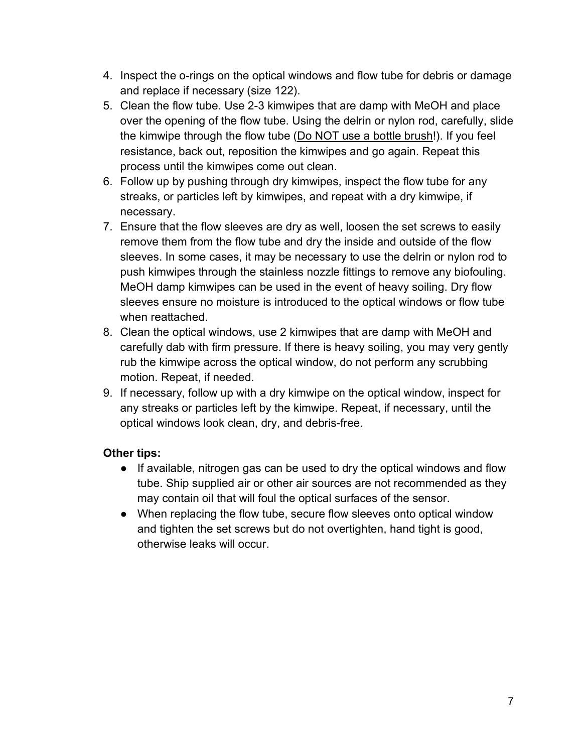- 4. Inspect the o-rings on the optical windows and flow tube for debris or damage and replace if necessary (size 122).
- 5. Clean the flow tube. Use 2-3 kimwipes that are damp with MeOH and place over the opening of the flow tube. Using the delrin or nylon rod, carefully, slide the kimwipe through the flow tube (Do NOT use a bottle brush!). If you feel resistance, back out, reposition the kimwipes and go again. Repeat this process until the kimwipes come out clean.
- 6. Follow up by pushing through dry kimwipes, inspect the flow tube for any streaks, or particles left by kimwipes, and repeat with a dry kimwipe, if necessary.
- 7. Ensure that the flow sleeves are dry as well, loosen the set screws to easily remove them from the flow tube and dry the inside and outside of the flow sleeves. In some cases, it may be necessary to use the delrin or nylon rod to push kimwipes through the stainless nozzle fittings to remove any biofouling. MeOH damp kimwipes can be used in the event of heavy soiling. Dry flow sleeves ensure no moisture is introduced to the optical windows or flow tube when reattached.
- 8. Clean the optical windows, use 2 kimwipes that are damp with MeOH and carefully dab with firm pressure. If there is heavy soiling, you may very gently rub the kimwipe across the optical window, do not perform any scrubbing motion. Repeat, if needed.
- 9. If necessary, follow up with a dry kimwipe on the optical window, inspect for any streaks or particles left by the kimwipe. Repeat, if necessary, until the optical windows look clean, dry, and debris-free.

#### **Other tips:**

- If available, nitrogen gas can be used to dry the optical windows and flow tube. Ship supplied air or other air sources are not recommended as they may contain oil that will foul the optical surfaces of the sensor.
- When replacing the flow tube, secure flow sleeves onto optical window and tighten the set screws but do not overtighten, hand tight is good, otherwise leaks will occur.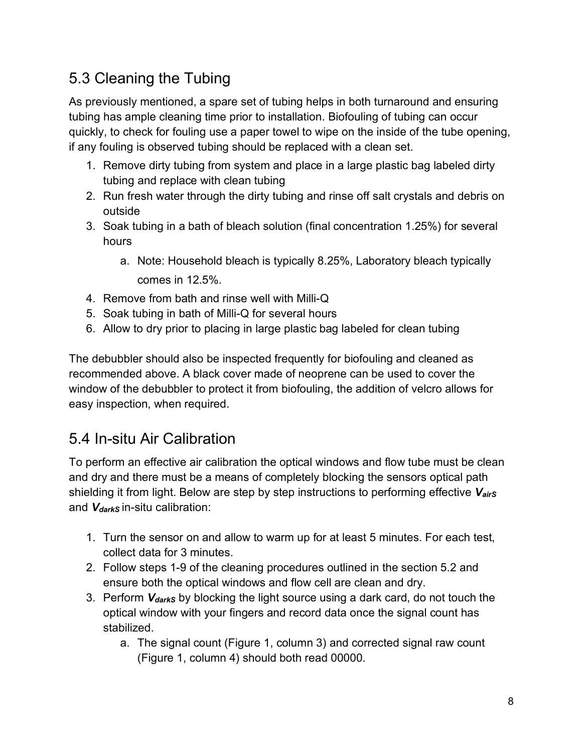## 5.3 Cleaning the Tubing

As previously mentioned, a spare set of tubing helps in both turnaround and ensuring tubing has ample cleaning time prior to installation. Biofouling of tubing can occur quickly, to check for fouling use a paper towel to wipe on the inside of the tube opening, if any fouling is observed tubing should be replaced with a clean set.

- 1. Remove dirty tubing from system and place in a large plastic bag labeled dirty tubing and replace with clean tubing
- 2. Run fresh water through the dirty tubing and rinse off salt crystals and debris on outside
- 3. Soak tubing in a bath of bleach solution (final concentration 1.25%) for several hours
	- a. Note: Household bleach is typically 8.25%, Laboratory bleach typically comes in 12.5%.
- 4. Remove from bath and rinse well with Milli-Q
- 5. Soak tubing in bath of Milli-Q for several hours
- 6. Allow to dry prior to placing in large plastic bag labeled for clean tubing

The debubbler should also be inspected frequently for biofouling and cleaned as recommended above. A black cover made of neoprene can be used to cover the window of the debubbler to protect it from biofouling, the addition of velcro allows for easy inspection, when required.

## 5.4 In-situ Air Calibration

To perform an effective air calibration the optical windows and flow tube must be clean and dry and there must be a means of completely blocking the sensors optical path shielding it from light. Below are step by step instructions to performing effective *VairS* and *V<sub>darkS</sub>* in-situ calibration:

- 1. Turn the sensor on and allow to warm up for at least 5 minutes. For each test, collect data for 3 minutes.
- 2. Follow steps 1-9 of the cleaning procedures outlined in the section 5.2 and ensure both the optical windows and flow cell are clean and dry.
- 3. Perform *VdarkS* by blocking the light source using a dark card, do not touch the optical window with your fingers and record data once the signal count has stabilized.
	- a. The signal count (Figure 1, column 3) and corrected signal raw count (Figure 1, column 4) should both read 00000.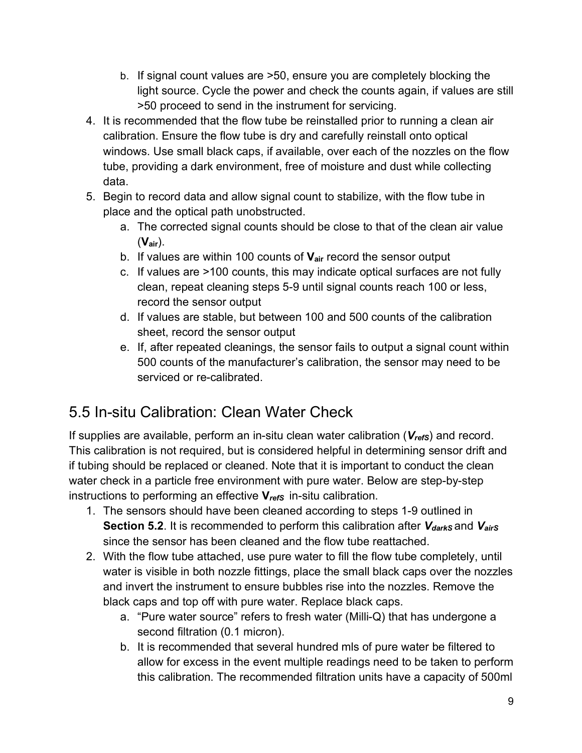- b. If signal count values are >50, ensure you are completely blocking the light source. Cycle the power and check the counts again, if values are still >50 proceed to send in the instrument for servicing.
- 4. It is recommended that the flow tube be reinstalled prior to running a clean air calibration. Ensure the flow tube is dry and carefully reinstall onto optical windows. Use small black caps, if available, over each of the nozzles on the flow tube, providing a dark environment, free of moisture and dust while collecting data.
- 5. Begin to record data and allow signal count to stabilize, with the flow tube in place and the optical path unobstructed.
	- a. The corrected signal counts should be close to that of the clean air value (**Vair**).
	- b. If values are within 100 counts of **Vair** record the sensor output
	- c. If values are >100 counts, this may indicate optical surfaces are not fully clean, repeat cleaning steps 5-9 until signal counts reach 100 or less, record the sensor output
	- d. If values are stable, but between 100 and 500 counts of the calibration sheet, record the sensor output
	- e. If, after repeated cleanings, the sensor fails to output a signal count within 500 counts of the manufacturer's calibration, the sensor may need to be serviced or re-calibrated.

## 5.5 In-situ Calibration: Clean Water Check

If supplies are available, perform an in-situ clean water calibration (V<sub>refs</sub>) and record. This calibration is not required, but is considered helpful in determining sensor drift and if tubing should be replaced or cleaned. Note that it is important to conduct the clean water check in a particle free environment with pure water. Below are step-by-step instructions to performing an effective  $V_{refs}$  in-situ calibration.

- 1. The sensors should have been cleaned according to steps 1-9 outlined in **Section 5.2.** It is recommended to perform this calibration after *V*<sub>darkS</sub> and *V*<sub>airS</sub> since the sensor has been cleaned and the flow tube reattached.
- 2. With the flow tube attached, use pure water to fill the flow tube completely, until water is visible in both nozzle fittings, place the small black caps over the nozzles and invert the instrument to ensure bubbles rise into the nozzles. Remove the black caps and top off with pure water. Replace black caps.
	- a. "Pure water source" refers to fresh water (Milli-Q) that has undergone a second filtration (0.1 micron).
	- b. It is recommended that several hundred mls of pure water be filtered to allow for excess in the event multiple readings need to be taken to perform this calibration. The recommended filtration units have a capacity of 500ml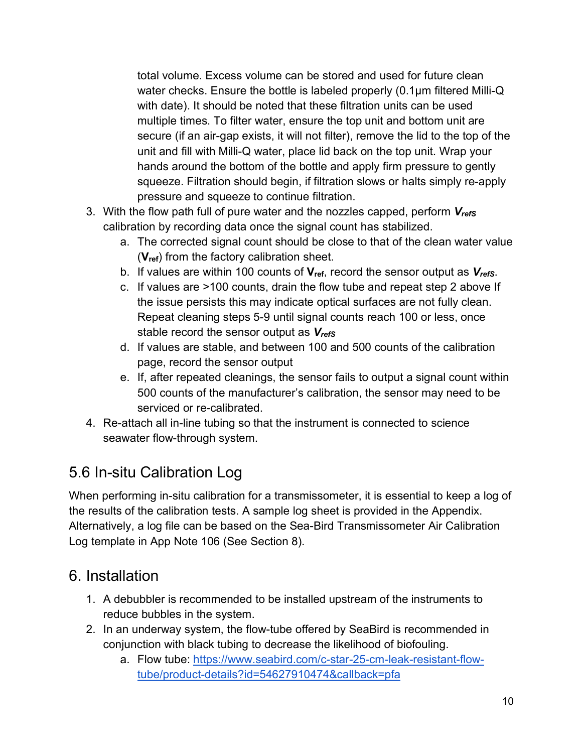total volume. Excess volume can be stored and used for future clean water checks. Ensure the bottle is labeled properly (0.1µm filtered Milli-Q with date). It should be noted that these filtration units can be used multiple times. To filter water, ensure the top unit and bottom unit are secure (if an air-gap exists, it will not filter), remove the lid to the top of the unit and fill with Milli-Q water, place lid back on the top unit. Wrap your hands around the bottom of the bottle and apply firm pressure to gently squeeze. Filtration should begin, if filtration slows or halts simply re-apply pressure and squeeze to continue filtration.

- 3. With the flow path full of pure water and the nozzles capped, perform *VrefS* calibration by recording data once the signal count has stabilized.
	- a. The corrected signal count should be close to that of the clean water value (**Vref**) from the factory calibration sheet.
	- b. If values are within 100 counts of **Vref**, record the sensor output as *VrefS*.
	- c. If values are >100 counts, drain the flow tube and repeat step 2 above If the issue persists this may indicate optical surfaces are not fully clean. Repeat cleaning steps 5-9 until signal counts reach 100 or less, once stable record the sensor output as *VrefS*
	- d. If values are stable, and between 100 and 500 counts of the calibration page, record the sensor output
	- e. If, after repeated cleanings, the sensor fails to output a signal count within 500 counts of the manufacturer's calibration, the sensor may need to be serviced or re-calibrated.
- 4. Re-attach all in-line tubing so that the instrument is connected to science seawater flow-through system.

## 5.6 In-situ Calibration Log

When performing in-situ calibration for a transmissometer, it is essential to keep a log of the results of the calibration tests. A sample log sheet is provided in the Appendix. Alternatively, a log file can be based on the Sea-Bird Transmissometer Air Calibration Log template in App Note 106 (See Section 8).

### 6. Installation

- 1. A debubbler is recommended to be installed upstream of the instruments to reduce bubbles in the system.
- 2. In an underway system, the flow-tube offered by SeaBird is recommended in conjunction with black tubing to decrease the likelihood of biofouling.
	- a. Flow tube: https://www.seabird.com/c-star-25-cm-leak-resistant-flowtube/product-details?id=54627910474&callback=pfa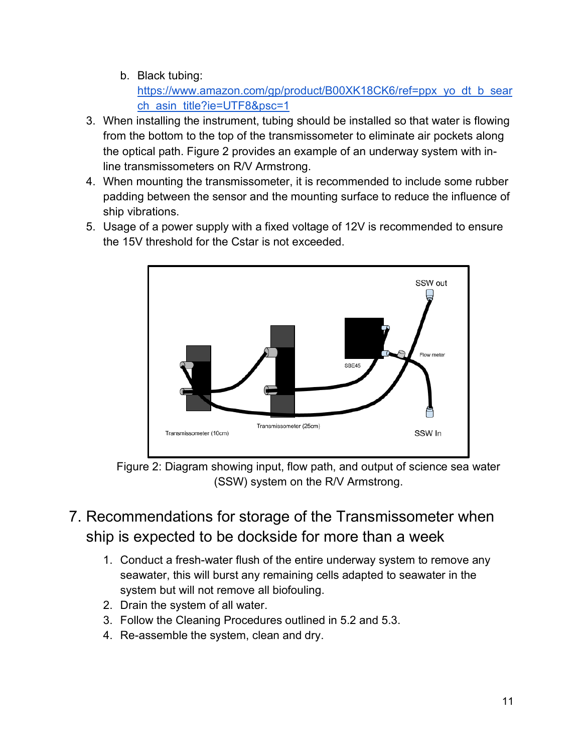#### b. Black tubing:

https://www.amazon.com/gp/product/B00XK18CK6/ref=ppx\_yo\_dt\_b\_sear ch\_asin\_title?ie=UTF8&psc=1

- 3. When installing the instrument, tubing should be installed so that water is flowing from the bottom to the top of the transmissometer to eliminate air pockets along the optical path. Figure 2 provides an example of an underway system with inline transmissometers on R/V Armstrong.
- 4. When mounting the transmissometer, it is recommended to include some rubber padding between the sensor and the mounting surface to reduce the influence of ship vibrations.
- 5. Usage of a power supply with a fixed voltage of 12V is recommended to ensure the 15V threshold for the Cstar is not exceeded.



Figure 2: Diagram showing input, flow path, and output of science sea water (SSW) system on the R/V Armstrong.

- 7. Recommendations for storage of the Transmissometer when ship is expected to be dockside for more than a week
	- 1. Conduct a fresh-water flush of the entire underway system to remove any seawater, this will burst any remaining cells adapted to seawater in the system but will not remove all biofouling.
	- 2. Drain the system of all water.
	- 3. Follow the Cleaning Procedures outlined in 5.2 and 5.3.
	- 4. Re-assemble the system, clean and dry.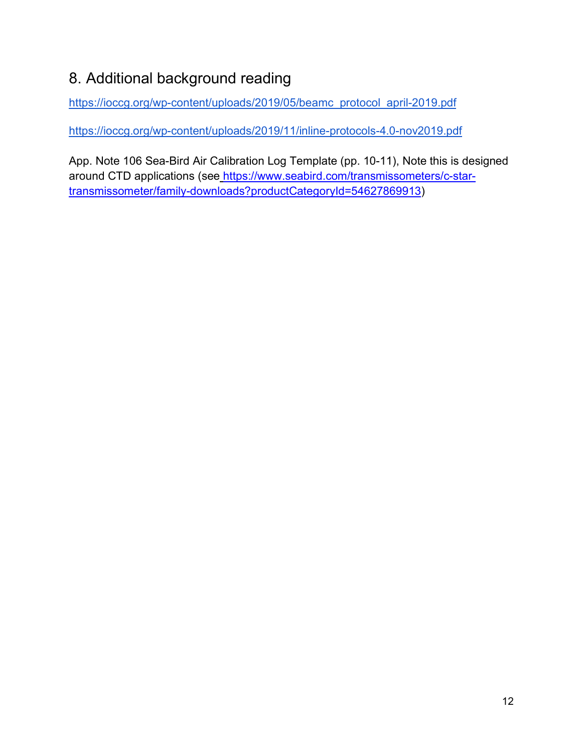## 8. Additional background reading

https://ioccg.org/wp-content/uploads/2019/05/beamc\_protocol\_april-2019.pdf

https://ioccg.org/wp-content/uploads/2019/11/inline-protocols-4.0-nov2019.pdf

App. Note 106 Sea-Bird Air Calibration Log Template (pp. 10-11), Note this is designed around CTD applications (see https://www.seabird.com/transmissometers/c-startransmissometer/family-downloads?productCategoryId=54627869913)